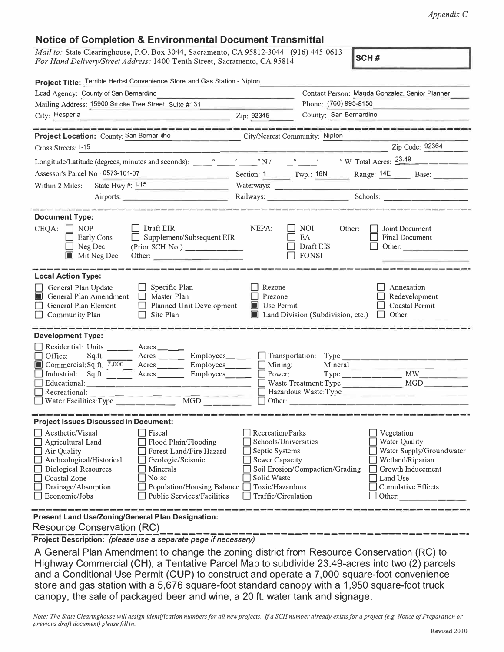## **Notice of Completion & Environmental Document Transmittal**

*Mail to:* State Clearinghouse, P.O. Box 3044, Sacramento, CA 95812-3044 (916) 445-0613 *For Hand Delivery/Street Address:* 1400 Tenth Street, Sacramento, CA 95814 **SCH #** 

| Project Title: Terrible Herbst Convenience Store and Gas Station - Nipton<br>Lead Agency: County of San Bernardino                                                                                                                                                                                                                                                                                                                                                                                                                                                                                                                                              |                               |                                                                                                                                                                                        |                                                                         |                                                          |                                                                                                         |  |
|-----------------------------------------------------------------------------------------------------------------------------------------------------------------------------------------------------------------------------------------------------------------------------------------------------------------------------------------------------------------------------------------------------------------------------------------------------------------------------------------------------------------------------------------------------------------------------------------------------------------------------------------------------------------|-------------------------------|----------------------------------------------------------------------------------------------------------------------------------------------------------------------------------------|-------------------------------------------------------------------------|----------------------------------------------------------|---------------------------------------------------------------------------------------------------------|--|
| Mailing Address: 15900 Smoke Tree Street, Suite #131                                                                                                                                                                                                                                                                                                                                                                                                                                                                                                                                                                                                            |                               |                                                                                                                                                                                        | Contact Person: Magda Gonzalez, Senior Planner<br>Phone: (760) 995-8150 |                                                          |                                                                                                         |  |
|                                                                                                                                                                                                                                                                                                                                                                                                                                                                                                                                                                                                                                                                 |                               |                                                                                                                                                                                        |                                                                         |                                                          |                                                                                                         |  |
| City: Hesperia<br><u> 1990 - John Stone, mars et al. 1990 - San A</u>                                                                                                                                                                                                                                                                                                                                                                                                                                                                                                                                                                                           |                               | Zip: 92345                                                                                                                                                                             | County: San Bernardino                                                  |                                                          |                                                                                                         |  |
| Project Location: County: San Bernar dho City/Nearest Community: Nipton                                                                                                                                                                                                                                                                                                                                                                                                                                                                                                                                                                                         |                               |                                                                                                                                                                                        |                                                                         |                                                          |                                                                                                         |  |
| Cross Streets: 1-15                                                                                                                                                                                                                                                                                                                                                                                                                                                                                                                                                                                                                                             |                               |                                                                                                                                                                                        |                                                                         | <u> 1999 - Jan James Barnett, primeira politik</u>       | Zip Code: 92364                                                                                         |  |
|                                                                                                                                                                                                                                                                                                                                                                                                                                                                                                                                                                                                                                                                 |                               |                                                                                                                                                                                        |                                                                         |                                                          |                                                                                                         |  |
| Assessor's Parcel No.: 0573-101-07<br>$\frac{\partial}{\partial x^i}=\frac{\partial}{\partial x^j}+\frac{\partial}{\partial x^j}+\frac{\partial}{\partial x^j}+\frac{\partial}{\partial x^j}+\frac{\partial}{\partial x^j}+\frac{\partial}{\partial x^j}+\frac{\partial}{\partial x^j}+\frac{\partial}{\partial x^j}+\frac{\partial}{\partial x^j}+\frac{\partial}{\partial x^j}+\frac{\partial}{\partial x^j}+\frac{\partial}{\partial x^j}+\frac{\partial}{\partial x^j}+\frac{\partial}{\partial x^j}+\frac{\partial}{\partial x^j}+\frac{\partial}{\partial x^j}+\frac{\partial}{\partial x^j}+\frac{\partial}{\partial x^j}+\frac{\partial}{\partial x^j}$ |                               |                                                                                                                                                                                        |                                                                         |                                                          | Section: 1 Twp.: 16N Range: 14E Base: ____                                                              |  |
| State Hwy $\#$ : $1-15$<br>Within 2 Miles:                                                                                                                                                                                                                                                                                                                                                                                                                                                                                                                                                                                                                      |                               |                                                                                                                                                                                        |                                                                         |                                                          |                                                                                                         |  |
| Airports:                                                                                                                                                                                                                                                                                                                                                                                                                                                                                                                                                                                                                                                       |                               |                                                                                                                                                                                        |                                                                         |                                                          |                                                                                                         |  |
| أنتقل المتواصل المتناجين المتواصل المتواطئ المتناولين والمتواصل والمتواطئ المتواطئ والمتواطئ                                                                                                                                                                                                                                                                                                                                                                                                                                                                                                                                                                    |                               |                                                                                                                                                                                        |                                                                         | Railways: Schools: Schools:                              |                                                                                                         |  |
| <b>Document Type:</b><br>$CEQA: \Box NOP$<br>$\Box$ Draft EIR<br>$\Box$ Supplement/Subsequent EIR<br><b>Early Cons</b><br>Neg Dec<br>(Prior SCH No.)<br>$\blacksquare$ Mit Neg Dec<br>Other:                                                                                                                                                                                                                                                                                                                                                                                                                                                                    |                               | NEPA:                                                                                                                                                                                  | $\Box$ NOI<br>Other:<br>EA<br>Draft EIS<br>$\Box$ FONSI                 |                                                          | Joint Document<br><b>Final Document</b><br>Other:                                                       |  |
| <b>Local Action Type:</b><br>General Plan Update<br>$\Box$ Specific Plan<br>$\Box$ Master Plan<br>General Plan Amendment<br>General Plan Element<br>Planned Unit Development<br><b>Community Plan</b><br>$\Box$ Site Plan                                                                                                                                                                                                                                                                                                                                                                                                                                       |                               | Rezone<br>Prezone<br>$\blacksquare$ Use Permit                                                                                                                                         |                                                                         |                                                          | Annexation<br>Redevelopment<br>Coastal Permit<br>$\Box$ Land Division (Subdivision, etc.) $\Box$ Other: |  |
| <b>Development Type:</b>                                                                                                                                                                                                                                                                                                                                                                                                                                                                                                                                                                                                                                        |                               |                                                                                                                                                                                        |                                                                         |                                                          |                                                                                                         |  |
| Residential: Units ______ Acres _____                                                                                                                                                                                                                                                                                                                                                                                                                                                                                                                                                                                                                           |                               |                                                                                                                                                                                        |                                                                         |                                                          |                                                                                                         |  |
| Sq.ft. Acres ________ Employees_______ _ Transportation: Type<br>Office:                                                                                                                                                                                                                                                                                                                                                                                                                                                                                                                                                                                        |                               |                                                                                                                                                                                        |                                                                         |                                                          |                                                                                                         |  |
| Commercial:Sq.ft. 7,000 Acres Employees Bully Mining:                                                                                                                                                                                                                                                                                                                                                                                                                                                                                                                                                                                                           |                               |                                                                                                                                                                                        |                                                                         | Mineral                                                  |                                                                                                         |  |
| Industrial: $Sq.ft.$ $\overline{\qquad}$ Acres ____                                                                                                                                                                                                                                                                                                                                                                                                                                                                                                                                                                                                             | $Employes \_\_ \_\_ \$ Power: |                                                                                                                                                                                        |                                                                         |                                                          | $Type \_$ $MW$                                                                                          |  |
|                                                                                                                                                                                                                                                                                                                                                                                                                                                                                                                                                                                                                                                                 |                               |                                                                                                                                                                                        |                                                                         |                                                          |                                                                                                         |  |
| Recreational:<br>$\underbrace{\hspace{2.5cm}}_{\text{MGD}}\underbrace{\hspace{2.5cm}}_{\text{1}}$<br>Water Facilities: Type                                                                                                                                                                                                                                                                                                                                                                                                                                                                                                                                     |                               | $\Box$ Other:                                                                                                                                                                          |                                                                         |                                                          |                                                                                                         |  |
|                                                                                                                                                                                                                                                                                                                                                                                                                                                                                                                                                                                                                                                                 |                               |                                                                                                                                                                                        |                                                                         |                                                          |                                                                                                         |  |
| <b>Project Issues Discussed in Document:</b>                                                                                                                                                                                                                                                                                                                                                                                                                                                                                                                                                                                                                    |                               |                                                                                                                                                                                        |                                                                         |                                                          |                                                                                                         |  |
| $\Box$ Aesthetic/Visual<br>  Fiscal<br>Flood Plain/Flooding<br>Agricultural Land<br>Forest Land/Fire Hazard<br>Air Quality<br>Archeological/Historical<br>Geologic/Seismic<br><b>Biological Resources</b><br>Minerals<br>Coastal Zone<br>Noise<br>Drainage/Absorption<br>Population/Housing Balance  <br>Economic/Jobs<br><b>Public Services/Facilities</b>                                                                                                                                                                                                                                                                                                     |                               | $\Box$ Recreation/Parks<br>$\Box$ Schools/Universities<br>Septic Systems<br>Sewer Capacity<br>Soil Erosion/Compaction/Grading<br>Solid Waste<br>Toxic/Hazardous<br>Traffic/Circulation |                                                                         | $\Box$ Vegetation<br>Water Quality<br>Land Use<br>Other: | Water Supply/Groundwater<br>Wetland/Riparian<br>Growth Inducement<br><b>Cumulative Effects</b>          |  |
| <b>Present Land Use/Zoning/General Plan Designation:</b>                                                                                                                                                                                                                                                                                                                                                                                                                                                                                                                                                                                                        |                               |                                                                                                                                                                                        |                                                                         |                                                          |                                                                                                         |  |
| <b>Resource Conservation (RC)</b>                                                                                                                                                                                                                                                                                                                                                                                                                                                                                                                                                                                                                               |                               |                                                                                                                                                                                        |                                                                         |                                                          |                                                                                                         |  |
| Project Description: (please use a separate page if necessary)                                                                                                                                                                                                                                                                                                                                                                                                                                                                                                                                                                                                  |                               |                                                                                                                                                                                        |                                                                         |                                                          |                                                                                                         |  |

A General Plan Amendment to change the zoning district from Resource Conservation (RC) to Highway Commercial (CH), a Tentative Parcel Map to subdivide 23.49-acres into two (2) parcels and a Conditional Use Permit (CUP) to construct and operate a 7,000 square-foot convenience store and gas station with a 5,676 square-foot standard canopy with a 1,950 square-foot truck canopy, the sale of packaged beer and wine, a 20 ft. water tank and signage.

*Note: The State Clearinghouse will assign identification numbers for all new projects. If a SCH number already exists for a project (e.g. Notice of Preparation or previous draft document) please fill in.*